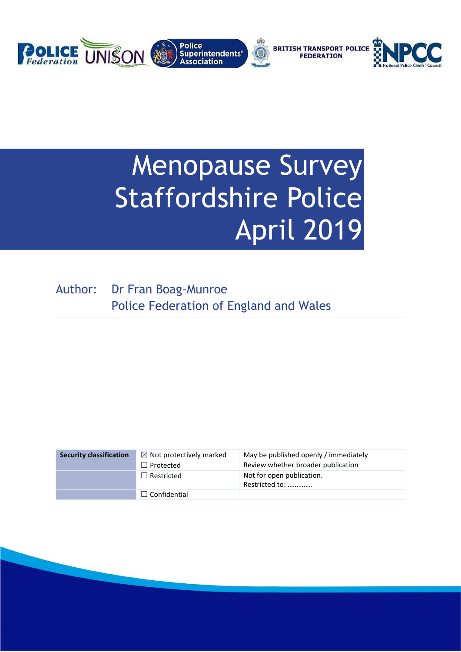

# Menopause Survey Staffordshire Police April 2019

Author: Dr Fran Boag-Munroe Police Federation of England and Wales

| <b>Security classification</b> | $\boxtimes$ Not protectively marked | May be published openly / immediately       |
|--------------------------------|-------------------------------------|---------------------------------------------|
|                                | $\Box$ Protected                    | Review whether broader publication          |
|                                | $\Box$ Restricted                   | Not for open publication.<br>Restricted to: |
|                                | $\Box$ Confidential                 |                                             |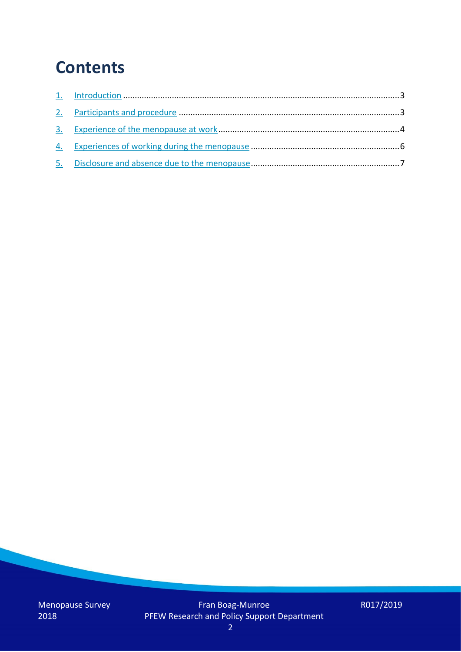### **Contents**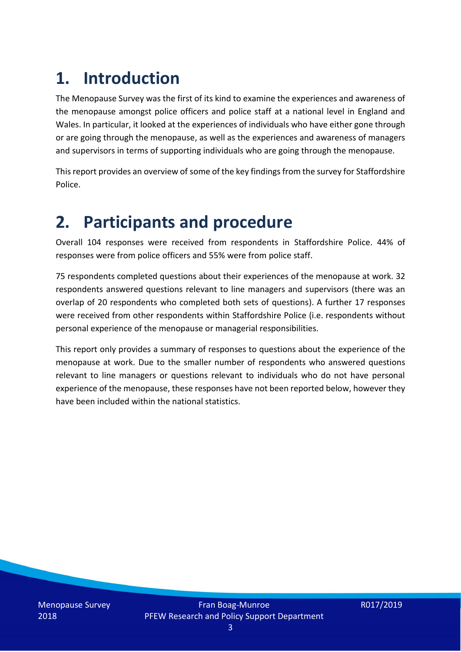# **1. Introduction**

The Menopause Survey was the first of its kind to examine the experiences and awareness of the menopause amongst police officers and police staff at a national level in England and Wales. In particular, it looked at the experiences of individuals who have either gone through or are going through the menopause, as well as the experiences and awareness of managers and supervisors in terms of supporting individuals who are going through the menopause.

This report provides an overview of some of the key findings from the survey for Staffordshire Police.

### **2. Participants and procedure**

Overall 104 responses were received from respondents in Staffordshire Police. 44% of responses were from police officers and 55% were from police staff.

75 respondents completed questions about their experiences of the menopause at work. 32 respondents answered questions relevant to line managers and supervisors (there was an overlap of 20 respondents who completed both sets of questions). A further 17 responses were received from other respondents within Staffordshire Police (i.e. respondents without personal experience of the menopause or managerial responsibilities.

This report only provides a summary of responses to questions about the experience of the menopause at work. Due to the smaller number of respondents who answered questions relevant to line managers or questions relevant to individuals who do not have personal experience of the menopause, these responses have not been reported below, however they have been included within the national statistics.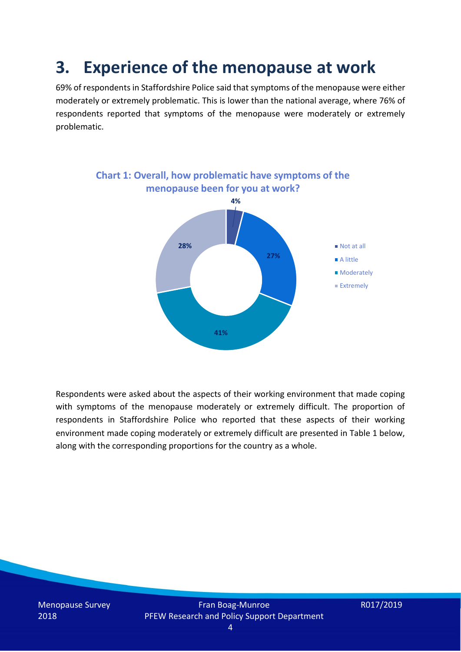### **3. Experience of the menopause at work**

69% of respondents in Staffordshire Police said that symptoms of the menopause were either moderately or extremely problematic. This is lower than the national average, where 76% of respondents reported that symptoms of the menopause were moderately or extremely problematic.



Respondents were asked about the aspects of their working environment that made coping with symptoms of the menopause moderately or extremely difficult. The proportion of respondents in Staffordshire Police who reported that these aspects of their working environment made coping moderately or extremely difficult are presented in Table 1 below, along with the corresponding proportions for the country as a whole.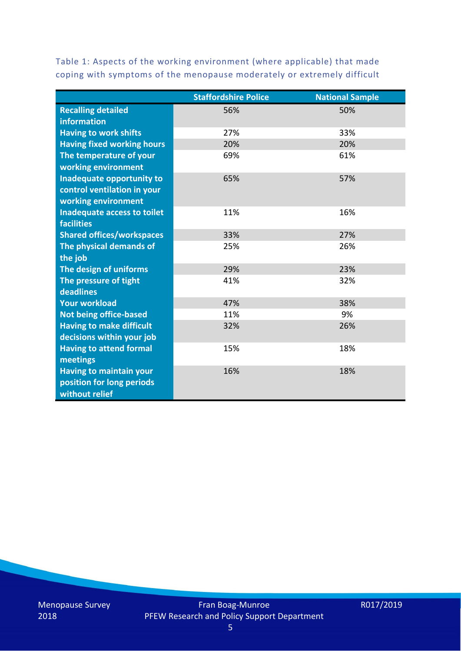Table 1: Aspects of the working environment (where applicable) that made coping with symptoms of the menopause moderately or extremely difficult

|                                   | <b>Staffordshire Police</b> | <b>National Sample</b> |
|-----------------------------------|-----------------------------|------------------------|
| <b>Recalling detailed</b>         | 56%                         | 50%                    |
| information                       |                             |                        |
| <b>Having to work shifts</b>      | 27%                         | 33%                    |
| <b>Having fixed working hours</b> | 20%                         | 20%                    |
| The temperature of your           | 69%                         | 61%                    |
| working environment               |                             |                        |
| Inadequate opportunity to         | 65%                         | 57%                    |
| control ventilation in your       |                             |                        |
| working environment               |                             |                        |
| Inadequate access to toilet       | 11%                         | 16%                    |
| <b>facilities</b>                 |                             |                        |
| <b>Shared offices/workspaces</b>  | 33%                         | 27%                    |
| The physical demands of           | 25%                         | 26%                    |
| the job                           |                             |                        |
| The design of uniforms            | 29%                         | 23%                    |
| The pressure of tight             | 41%                         | 32%                    |
| deadlines                         |                             |                        |
| <b>Your workload</b>              | 47%                         | 38%                    |
| <b>Not being office-based</b>     | 11%                         | 9%                     |
| <b>Having to make difficult</b>   | 32%                         | 26%                    |
| decisions within your job         |                             |                        |
| <b>Having to attend formal</b>    | 15%                         | 18%                    |
| meetings                          |                             |                        |
| <b>Having to maintain your</b>    | 16%                         | 18%                    |
| position for long periods         |                             |                        |
| without relief                    |                             |                        |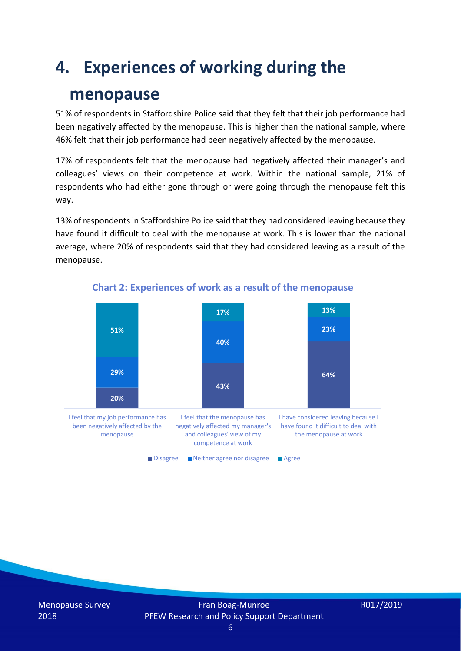### **4. Experiences of working during the**

### **menopause**

51% of respondents in Staffordshire Police said that they felt that their job performance had been negatively affected by the menopause. This is higher than the national sample, where 46% felt that their job performance had been negatively affected by the menopause.

17% of respondents felt that the menopause had negatively affected their manager's and colleagues' views on their competence at work. Within the national sample, 21% of respondents who had either gone through or were going through the menopause felt this way.

13% of respondents in Staffordshire Police said that they had considered leaving because they have found it difficult to deal with the menopause at work. This is lower than the national average, where 20% of respondents said that they had considered leaving as a result of the menopause.



#### **Chart 2: Experiences of work as a result of the menopause**